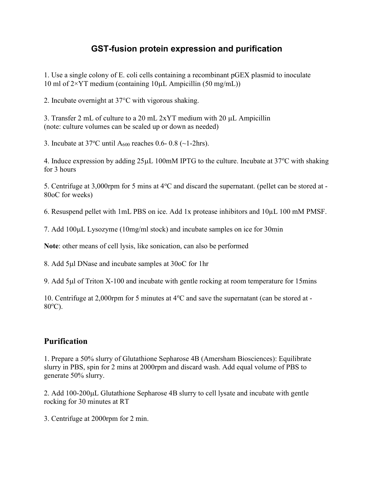## GST-fusion protein expression and purification

1. Use a single colony of E. coli cells containing a recombinant pGEX plasmid to inoculate 10 ml of  $2\times$ YT medium (containing 10 $\mu$ L Ampicillin (50 mg/mL))

2. Incubate overnight at 37°C with vigorous shaking.

3. Transfer 2 mL of culture to a 20 mL  $2xYT$  medium with 20  $\mu$ L Ampicillin (note: culture volumes can be scaled up or down as needed)

3. Incubate at  $37^{\circ}$ C until A<sub>600</sub> reaches 0.6- 0.8 (~1-2hrs).

4. Induce expression by adding  $25\mu L$  100mM IPTG to the culture. Incubate at 37 $\degree$ C with shaking for 3 hours

5. Centrifuge at 3,000rpm for 5 mins at  $4^{\circ}$ C and discard the supernatant. (pellet can be stored at -80oC for weeks)

6. Resuspend pellet with 1mL PBS on ice. Add 1x protease inhibitors and 10µL 100 mM PMSF.

7. Add 100µL Lysozyme (10mg/ml stock) and incubate samples on ice for 30min

Note: other means of cell lysis, like sonication, can also be performed

8. Add 5µl DNase and incubate samples at 30oC for 1hr

9. Add 5µl of Triton X-100 and incubate with gentle rocking at room temperature for 15mins

10. Centrifuge at 2,000rpm for 5 minutes at  $4^{\circ}$ C and save the supernatant (can be stored at - $80^{\circ}$ C).

## Purification

1. Prepare a 50% slurry of Glutathione Sepharose 4B (Amersham Biosciences): Equilibrate slurry in PBS, spin for 2 mins at 2000rpm and discard wash. Add equal volume of PBS to generate 50% slurry.

2. Add  $100-200\mu L$  Glutathione Sepharose 4B slurry to cell lysate and incubate with gentle rocking for 30 minutes at RT

3. Centrifuge at 2000rpm for 2 min.